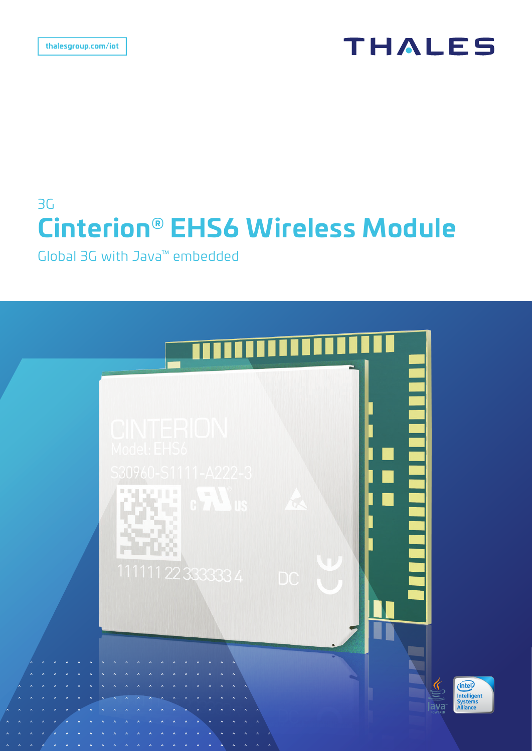## **THALES**

# 3G **Cinterion® EHS6 Wireless Module**

Global 3G with Java™ embedded

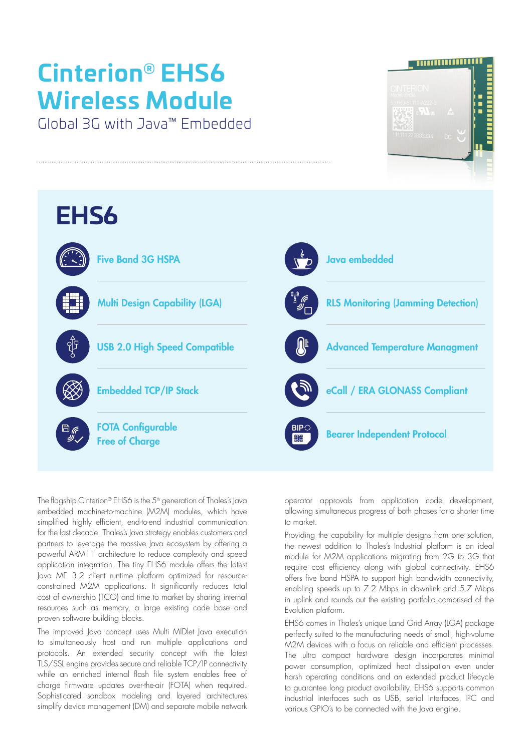# **Cinterion® EHS6 Wireless Module**

Global 3G with Java™ Embedded





The flagship Cinterion® EHS6 is the  $5<sup>th</sup>$  generation of Thales's Java embedded machine-to-machine (M2M) modules, which have simplified highly efficient, end-to-end industrial communication for the last decade. Thales's Java strategy enables customers and partners to leverage the massive lava ecosystem by offering a powerful ARM11 architecture to reduce complexity and speed application integration. The tiny EHS6 module offers the latest Java ME 3.2 client runtime platform optimized for resourceconstrained M2M applications. It significantly reduces total cost of ownership (TCO) and time to market by sharing internal resources such as memory, a large existing code base and proven software building blocks.

The improved Java concept uses Multi MIDlet Java execution to simultaneously host and run multiple applications and protocols. An extended security concept with the latest TLS/SSL engine provides secure and reliable TCP/IP connectivity while an enriched internal flash file system enables free of charge firmware updates over-the-air (FOTA) when required. Sophisticated sandbox modeling and layered architectures simplify device management (DM) and separate mobile network operator approvals from application code development, allowing simultaneous progress of both phases for a shorter time to market.

Providing the capability for multiple designs from one solution, the newest addition to Thales's Industrial platform is an ideal module for M2M applications migrating from 2G to 3G that require cost efficiency along with global connectivity. EHS6 offers five band HSPA to support high bandwidth connectivity, enabling speeds up to 7.2 Mbps in downlink and 5.7 Mbps in uplink and rounds out the existing portfolio comprised of the Evolution platform.

EHS6 comes in Thales's unique Land Grid Array (LGA) package perfectly suited to the manufacturing needs of small, high-volume M2M devices with a focus on reliable and efficient processes. The ultra compact hardware design incorporates minimal power consumption, optimized heat dissipation even under harsh operating conditions and an extended product lifecycle to guarantee long product availability. EHS6 supports common industrial interfaces such as USB, serial interfaces, I²C and various GPIO's to be connected with the Java engine.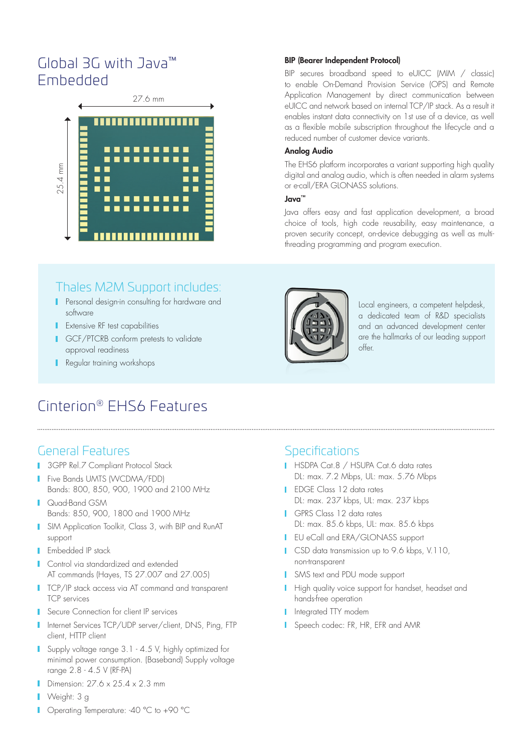## Global 3G with Java™ Embedded



## Thales M2M Support includes:

- **Personal design-in consulting for hardware and** software
- **I** Extensive RF test capabilities
- **I** GCF/PTCRB conform pretests to validate approval readiness
- Regular training workshops

## Cinterion® EHS6 Features

## General Features

- **3GPP Rel.7 Compliant Protocol Stack**
- **Five Bands UMTS (WCDMA/FDD)** Bands: 800, 850, 900, 1900 and 2100 MHz
- **I** Quad-Band GSM Bands: 850, 900, 1800 and 1900 MHz
- **I** SIM Application Toolkit, Class 3, with BIP and RunAT support
- **I** Embedded IP stack
- **Control via standardized and extended** AT commands (Hayes, TS 27.007 and 27.005)
- **TCP/IP stack access via AT command and transparent** TCP services
- **Secure Connection for client IP services**
- Internet Services TCP/UDP server/client, DNS, Ping, FTP client, HTTP client
- **Supply voltage range 3.1 4.5 V, highly optimized for** minimal power consumption. (Baseband) Supply voltage range 2.8 - 4.5 V (RF-PA)
- Dimension: 27.6 x 25.4 x 2.3 mm
- **Neight: 3 g**
- Operating Temperature: -40 °C to +90 °C

#### BIP (Bearer Independent Protocol)

BIP secures broadband speed to eUICC (MIM / classic) to enable On-Demand Provision Service (OPS) and Remote Application Management by direct communication between eUICC and network based on internal TCP/IP stack. As a result it enables instant data connectivity on 1st use of a device, as well as a flexible mobile subscription throughout the lifecycle and a reduced number of customer device variants.

#### Analog Audio

The EHS6 platform incorporates a variant supporting high quality digital and analog audio, which is often needed in alarm systems or e-call/ERA GLONASS solutions.

#### Java™

Java offers easy and fast application development, a broad choice of tools, high code reusability, easy maintenance, a proven security concept, on-device debugging as well as multithreading programming and program execution.



Local engineers, a competent helpdesk, a dedicated team of R&D specialists and an advanced development center are the hallmarks of our leading support offer.

## **Specifications**

- HSDPA Cat.8 / HSUPA Cat.6 data rates DL: max. 7.2 Mbps, UL: max. 5.76 Mbps
- **I** EDGE Class 12 data rates DL: max. 237 kbps, UL: max. 237 kbps
- GPRS Class 12 data rates DL: max. 85.6 kbps, UL: max. 85.6 kbps
- **I** EU eCall and ERA/GLONASS support
- **CSD** data transmission up to 9.6 kbps, V.110, non-transparent
- SMS text and PDU mode support
- **High quality voice support for handset, headset and** hands-free operation
- Integrated TTY modem
- Speech codec: FR, HR, EFR and AMR